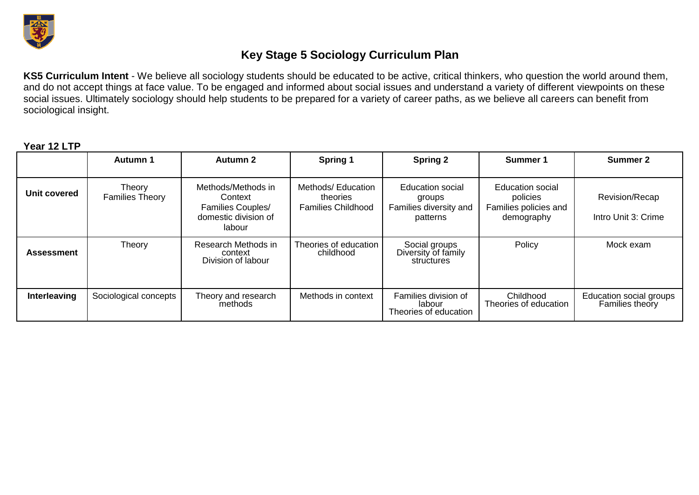

## **Key Stage 5 Sociology Curriculum Plan**

**KS5 Curriculum Intent** - We believe all sociology students should be educated to be active, critical thinkers, who question the world around them, and do not accept things at face value. To be engaged and informed about social issues and understand a variety of different viewpoints on these social issues. Ultimately sociology should help students to be prepared for a variety of career paths, as we believe all careers can benefit from sociological insight.

**Year 12 LTP**

|              | Autumn 1                         | Autumn 2                                                                             | Spring 1                                                    | <b>Spring 2</b>                                                         | Summer 1                                                                   | Summer 2                                   |
|--------------|----------------------------------|--------------------------------------------------------------------------------------|-------------------------------------------------------------|-------------------------------------------------------------------------|----------------------------------------------------------------------------|--------------------------------------------|
| Unit covered | Theory<br><b>Families Theory</b> | Methods/Methods in<br>Context<br>Families Couples/<br>domestic division of<br>labour | Methods/ Education<br>theories<br><b>Families Childhood</b> | <b>Education social</b><br>groups<br>Families diversity and<br>patterns | <b>Education social</b><br>policies<br>Families policies and<br>demography | Revision/Recap<br>Intro Unit 3: Crime      |
| Assessment   | Theory                           | Research Methods in<br>context<br>Division of labour                                 | Theories of education<br>childhood                          | Social groups<br>Diversity of family<br>structures                      | Policy                                                                     | Mock exam                                  |
| Interleaving | Sociological concepts            | Theory and research<br>methods                                                       | Methods in context                                          | Families division of<br>labour<br>Theories of education                 | Childhood<br>Theories of education                                         | Education social groups<br>Families theory |